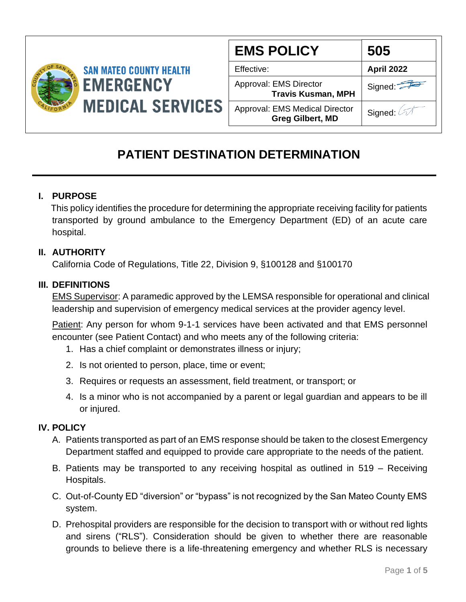

| <b>EMS POLICY</b>                                         | 505               |
|-----------------------------------------------------------|-------------------|
| Effective:                                                | <b>April 2022</b> |
| Approval: EMS Director<br><b>Travis Kusman, MPH</b>       | Signed:           |
| Approval: EMS Medical Director<br><b>Greg Gilbert, MD</b> | Signed:           |

# **PATIENT DESTINATION DETERMINATION**

# **I. PURPOSE**

 This policy identifies the procedure for determining the appropriate receiving facility for patients transported by ground ambulance to the Emergency Department (ED) of an acute care hospital.

# **II. AUTHORITY**

California Code of Regulations, Title 22, Division 9, §100128 and §100170

### **III. DEFINITIONS**

EMS Supervisor: A paramedic approved by the LEMSA responsible for operational and clinical leadership and supervision of emergency medical services at the provider agency level.

Patient: Any person for whom 9-1-1 services have been activated and that EMS personnel encounter (see Patient Contact) and who meets any of the following criteria:

- 1. Has a chief complaint or demonstrates illness or injury;
- 2. Is not oriented to person, place, time or event;
- 3. Requires or requests an assessment, field treatment, or transport; or
- 4. Is a minor who is not accompanied by a parent or legal guardian and appears to be ill or injured.

# **IV. POLICY**

- A. Patients transported as part of an EMS response should be taken to the closest Emergency Department staffed and equipped to provide care appropriate to the needs of the patient.
- B. Patients may be transported to any receiving hospital as outlined in 519 Receiving Hospitals.
- C. Out-of-County ED "diversion" or "bypass" is not recognized by the San Mateo County EMS system.
- D. Prehospital providers are responsible for the decision to transport with or without red lights and sirens ("RLS"). Consideration should be given to whether there are reasonable grounds to believe there is a life-threatening emergency and whether RLS is necessary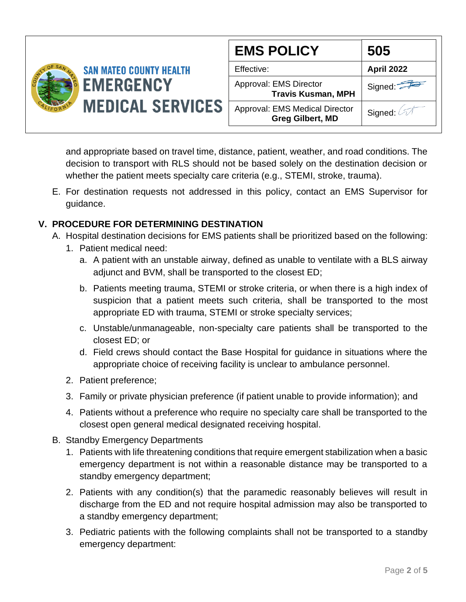|                                                                               | <b>EMS POLICY</b>                                         | 505                             |
|-------------------------------------------------------------------------------|-----------------------------------------------------------|---------------------------------|
| <b>SAN MATEO COUNTY HEALTH</b><br><b>EMERGENCY</b><br><b>MEDICAL SERVICES</b> | Effective:                                                | <b>April 2022</b>               |
|                                                                               | Approval: EMS Director<br><b>Travis Kusman, MPH</b>       | Signed $\overline{\phantom{a}}$ |
|                                                                               | Approval: EMS Medical Director<br><b>Greg Gilbert, MD</b> | Signed:                         |

and appropriate based on travel time, distance, patient, weather, and road conditions. The decision to transport with RLS should not be based solely on the destination decision or whether the patient meets specialty care criteria (e.g., STEMI, stroke, trauma).

E. For destination requests not addressed in this policy, contact an EMS Supervisor for guidance.

# **V. PROCEDURE FOR DETERMINING DESTINATION**

- A. Hospital destination decisions for EMS patients shall be prioritized based on the following:
	- 1. Patient medical need:
		- a. A patient with an unstable airway, defined as unable to ventilate with a BLS airway adjunct and BVM, shall be transported to the closest ED;
		- b. Patients meeting trauma, STEMI or stroke criteria, or when there is a high index of suspicion that a patient meets such criteria, shall be transported to the most appropriate ED with trauma, STEMI or stroke specialty services;
		- c. Unstable/unmanageable, non-specialty care patients shall be transported to the closest ED; or
		- d. Field crews should contact the Base Hospital for guidance in situations where the appropriate choice of receiving facility is unclear to ambulance personnel.
	- 2. Patient preference;
	- 3. Family or private physician preference (if patient unable to provide information); and
	- 4. Patients without a preference who require no specialty care shall be transported to the closest open general medical designated receiving hospital.
- B. Standby Emergency Departments
	- 1. Patients with life threatening conditions that require emergent stabilization when a basic emergency department is not within a reasonable distance may be transported to a standby emergency department;
	- 2. Patients with any condition(s) that the paramedic reasonably believes will result in discharge from the ED and not require hospital admission may also be transported to a standby emergency department;
	- 3. Pediatric patients with the following complaints shall not be transported to a standby emergency department: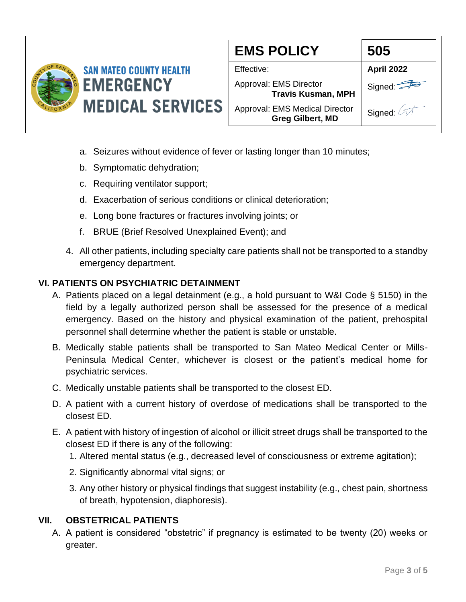

| <b>EMS POLICY</b>                                                | 505        |
|------------------------------------------------------------------|------------|
| Effective:                                                       | April 2022 |
| Approval: EMS Director<br><b>Travis Kusman, MPH</b>              | Signed:    |
| <b>Approval: EMS Medical Director</b><br><b>Greg Gilbert, MD</b> | Signed:    |

- a. Seizures without evidence of fever or lasting longer than 10 minutes;
- b. Symptomatic dehydration;
- c. Requiring ventilator support;
- d. Exacerbation of serious conditions or clinical deterioration;
- e. Long bone fractures or fractures involving joints; or
- f. BRUE (Brief Resolved Unexplained Event); and
- 4. All other patients, including specialty care patients shall not be transported to a standby emergency department.

#### **VI. PATIENTS ON PSYCHIATRIC DETAINMENT**

- A. Patients placed on a legal detainment (e.g., a hold pursuant to W&I Code § 5150) in the field by a legally authorized person shall be assessed for the presence of a medical emergency. Based on the history and physical examination of the patient, prehospital personnel shall determine whether the patient is stable or unstable.
- B. Medically stable patients shall be transported to San Mateo Medical Center or Mills-Peninsula Medical Center, whichever is closest or the patient's medical home for psychiatric services.
- C. Medically unstable patients shall be transported to the closest ED.
- D. A patient with a current history of overdose of medications shall be transported to the closest ED.
- E. A patient with history of ingestion of alcohol or illicit street drugs shall be transported to the closest ED if there is any of the following:
	- 1. Altered mental status (e.g., decreased level of consciousness or extreme agitation);
	- 2. Significantly abnormal vital signs; or
	- 3. Any other history or physical findings that suggest instability (e.g.*,* chest pain, shortness of breath, hypotension, diaphoresis).

#### **VII. OBSTETRICAL PATIENTS**

A. A patient is considered "obstetric" if pregnancy is estimated to be twenty (20) weeks or greater.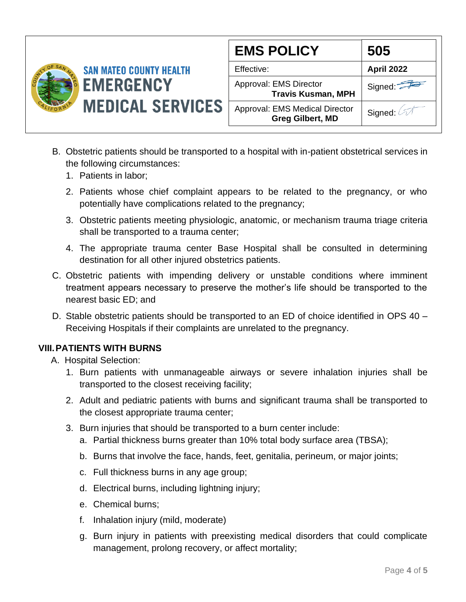

| <b>EMS POLICY</b>                                                | 505               |
|------------------------------------------------------------------|-------------------|
| Effective:                                                       | <b>April 2022</b> |
| Approval: EMS Director<br><b>Travis Kusman, MPH</b>              | Signed:           |
| <b>Approval: EMS Medical Director</b><br><b>Greg Gilbert, MD</b> | Signed: A         |

- B. Obstetric patients should be transported to a hospital with in-patient obstetrical services in the following circumstances:
	- 1. Patients in labor;
	- 2. Patients whose chief complaint appears to be related to the pregnancy, or who potentially have complications related to the pregnancy;
	- 3. Obstetric patients meeting physiologic, anatomic, or mechanism trauma triage criteria shall be transported to a trauma center;
	- 4. The appropriate trauma center Base Hospital shall be consulted in determining destination for all other injured obstetrics patients.
- C. Obstetric patients with impending delivery or unstable conditions where imminent treatment appears necessary to preserve the mother's life should be transported to the nearest basic ED; and
- D. Stable obstetric patients should be transported to an ED of choice identified in OPS 40 Receiving Hospitals if their complaints are unrelated to the pregnancy.

# **VIII.PATIENTS WITH BURNS**

- A. Hospital Selection:
	- 1. Burn patients with unmanageable airways or severe inhalation injuries shall be transported to the closest receiving facility;
	- 2. Adult and pediatric patients with burns and significant trauma shall be transported to the closest appropriate trauma center;
	- 3. Burn injuries that should be transported to a burn center include:
		- a. Partial thickness burns greater than 10% total body surface area (TBSA);
		- b. Burns that involve the face, hands, feet, genitalia, perineum, or major joints;
		- c. Full thickness burns in any age group;
		- d. Electrical burns, including lightning injury;
		- e. Chemical burns;
		- f. Inhalation injury (mild, moderate)
		- g. Burn injury in patients with preexisting medical disorders that could complicate management, prolong recovery, or affect mortality;